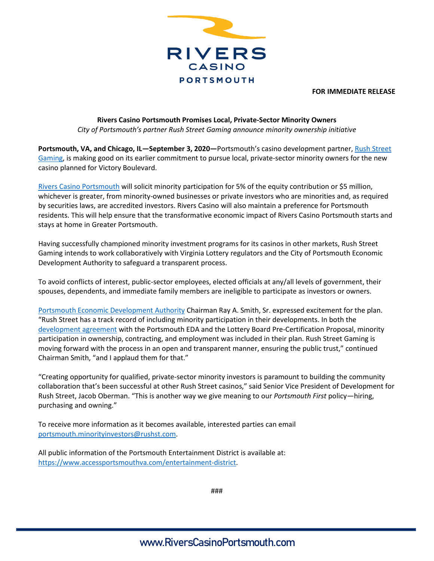

**FOR IMMEDIATE RELEASE**

## **Rivers Casino Portsmouth Promises Local, Private-Sector Minority Owners** *City of Portsmouth's partner Rush Street Gaming announce minority ownership initiative*

**Portsmouth, VA, and Chicago, IL—September 3, 2020—**Portsmouth's casino development partner[, Rush Street](https://rushstreetgaming.com/)  [Gaming,](https://rushstreetgaming.com/) is making good on its earlier commitment to pursue local, private-sector minority owners for the new casino planned for Victory Boulevard.

[Rivers Casino Portsmouth](https://www.riverscasinoportsmouth.com/) will solicit minority participation for 5% of the equity contribution or \$5 million, whichever is greater, from minority-owned businesses or private investors who are minorities and, as required by securities laws, are accredited investors. Rivers Casino will also maintain a preference for Portsmouth residents. This will help ensure that the transformative economic impact of Rivers Casino Portsmouth starts and stays at home in Greater Portsmouth.

Having successfully championed minority investment programs for its casinos in other markets, Rush Street Gaming intends to work collaboratively with Virginia Lottery regulators and the City of Portsmouth Economic Development Authority to safeguard a transparent process.

To avoid conflicts of interest, public-sector employees, elected officials at any/all levels of government, their spouses, dependents, and immediate family members are ineligible to participate as investors or owners.

[Portsmouth Economic Development Authority](https://www.accessportsmouthva.com/economic-development-authority-eda) Chairman Ray A. Smith, Sr. expressed excitement for the plan. "Rush Street has a track record of including minority participation in their developments. In both the [development agreement](https://www.accessportsmouthva.com/entertainment-district) with the Portsmouth EDA and the Lottery Board Pre-Certification Proposal, minority participation in ownership, contracting, and employment was included in their plan. Rush Street Gaming is moving forward with the process in an open and transparent manner, ensuring the public trust," continued Chairman Smith, "and I applaud them for that."

"Creating opportunity for qualified, private-sector minority investors is paramount to building the community collaboration that's been successful at other Rush Street casinos," said Senior Vice President of Development for Rush Street, Jacob Oberman. "This is another way we give meaning to our *Portsmouth First* policy—hiring, purchasing and owning."

To receive more information as it becomes available, interested parties can email [portsmouth.minorityinvestors@rushst.com.](mailto:portsmouth.minorityinvestors@rushst.com)

All public information of the Portsmouth Entertainment District is available at: [https://www.accessportsmouthva.com/entertainment-district.](https://www.accessportsmouthva.com/entertainment-district)

###